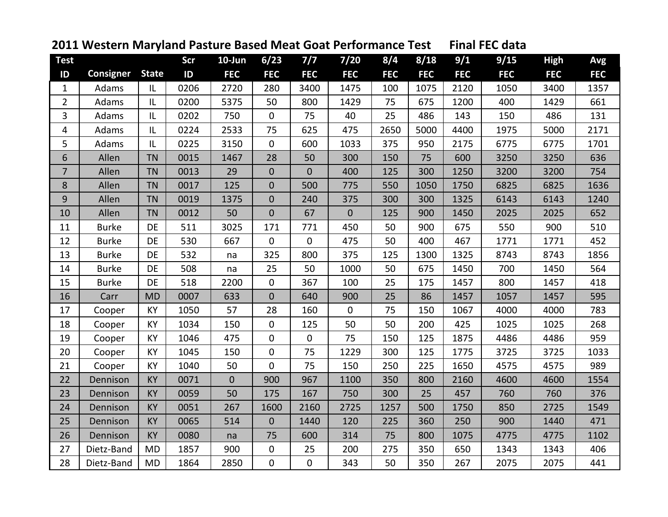| <b>Test</b>    |                  |              | Scr  | 10-Jun      | 6/23           | 7/7         | 7/20        | 8/4        | 8/18       | 9/1        | 9/15       | <b>High</b> | Avg        |
|----------------|------------------|--------------|------|-------------|----------------|-------------|-------------|------------|------------|------------|------------|-------------|------------|
| ID             | <b>Consigner</b> | <b>State</b> | ID   | <b>FEC</b>  | <b>FEC</b>     | <b>FEC</b>  | <b>FEC</b>  | <b>FEC</b> | <b>FEC</b> | <b>FEC</b> | <b>FEC</b> | <b>FEC</b>  | <b>FEC</b> |
| $\mathbf 1$    | Adams            | IL           | 0206 | 2720        | 280            | 3400        | 1475        | 100        | 1075       | 2120       | 1050       | 3400        | 1357       |
| $\overline{2}$ | Adams            | IL           | 0200 | 5375        | 50             | 800         | 1429        | 75         | 675        | 1200       | 400        | 1429        | 661        |
| 3              | Adams            | IL           | 0202 | 750         | $\mathbf 0$    | 75          | 40          | 25         | 486        | 143        | 150        | 486         | 131        |
| 4              | Adams            | IL           | 0224 | 2533        | 75             | 625         | 475         | 2650       | 5000       | 4400       | 1975       | 5000        | 2171       |
| 5              | Adams            | IL           | 0225 | 3150        | $\overline{0}$ | 600         | 1033        | 375        | 950        | 2175       | 6775       | 6775        | 1701       |
| 6              | Allen            | <b>TN</b>    | 0015 | 1467        | 28             | 50          | 300         | 150        | 75         | 600        | 3250       | 3250        | 636        |
| $\overline{7}$ | Allen            | <b>TN</b>    | 0013 | 29          | $\overline{0}$ | $\mathbf 0$ | 400         | 125        | 300        | 1250       | 3200       | 3200        | 754        |
| 8              | Allen            | <b>TN</b>    | 0017 | 125         | $\overline{0}$ | 500         | 775         | 550        | 1050       | 1750       | 6825       | 6825        | 1636       |
| 9              | Allen            | <b>TN</b>    | 0019 | 1375        | $\overline{0}$ | 240         | 375         | 300        | 300        | 1325       | 6143       | 6143        | 1240       |
| 10             | Allen            | <b>TN</b>    | 0012 | 50          | 0              | 67          | $\mathbf 0$ | 125        | 900        | 1450       | 2025       | 2025        | 652        |
| 11             | <b>Burke</b>     | DE           | 511  | 3025        | 171            | 771         | 450         | 50         | 900        | 675        | 550        | 900         | 510        |
| 12             | <b>Burke</b>     | DE           | 530  | 667         | 0              | 0           | 475         | 50         | 400        | 467        | 1771       | 1771        | 452        |
| 13             | <b>Burke</b>     | DE           | 532  | na          | 325            | 800         | 375         | 125        | 1300       | 1325       | 8743       | 8743        | 1856       |
| 14             | <b>Burke</b>     | DE           | 508  | na          | 25             | 50          | 1000        | 50         | 675        | 1450       | 700        | 1450        | 564        |
| 15             | <b>Burke</b>     | DE           | 518  | 2200        | $\mathbf{0}$   | 367         | 100         | 25         | 175        | 1457       | 800        | 1457        | 418        |
| 16             | Carr             | <b>MD</b>    | 0007 | 633         | $\overline{0}$ | 640         | 900         | 25         | 86         | 1457       | 1057       | 1457        | 595        |
| 17             | Cooper           | <b>KY</b>    | 1050 | 57          | 28             | 160         | $\mathbf 0$ | 75         | 150        | 1067       | 4000       | 4000        | 783        |
| 18             | Cooper           | <b>KY</b>    | 1034 | 150         | $\overline{0}$ | 125         | 50          | 50         | 200        | 425        | 1025       | 1025        | 268        |
| 19             | Cooper           | KY           | 1046 | 475         | $\mathbf 0$    | $\mathbf 0$ | 75          | 150        | 125        | 1875       | 4486       | 4486        | 959        |
| 20             | Cooper           | <b>KY</b>    | 1045 | 150         | $\mathbf 0$    | 75          | 1229        | 300        | 125        | 1775       | 3725       | 3725        | 1033       |
| 21             | Cooper           | <b>KY</b>    | 1040 | 50          | $\mathbf 0$    | 75          | 150         | 250        | 225        | 1650       | 4575       | 4575        | 989        |
| 22             | Dennison         | <b>KY</b>    | 0071 | $\mathbf 0$ | 900            | 967         | 1100        | 350        | 800        | 2160       | 4600       | 4600        | 1554       |
| 23             | Dennison         | <b>KY</b>    | 0059 | 50          | 175            | 167         | 750         | 300        | 25         | 457        | 760        | 760         | 376        |
| 24             | Dennison         | <b>KY</b>    | 0051 | 267         | 1600           | 2160        | 2725        | 1257       | 500        | 1750       | 850        | 2725        | 1549       |
| 25             | Dennison         | <b>KY</b>    | 0065 | 514         | $\overline{0}$ | 1440        | 120         | 225        | 360        | 250        | 900        | 1440        | 471        |
| 26             | Dennison         | <b>KY</b>    | 0080 | na          | 75             | 600         | 314         | 75         | 800        | 1075       | 4775       | 4775        | 1102       |
| 27             | Dietz-Band       | <b>MD</b>    | 1857 | 900         | 0              | 25          | 200         | 275        | 350        | 650        | 1343       | 1343        | 406        |
| 28             | Dietz-Band       | <b>MD</b>    | 1864 | 2850        | 0              | 0           | 343         | 50         | 350        | 267        | 2075       | 2075        | 441        |

## **Western Maryland Pasture Based Meat Goat Performance Test Final FEC data**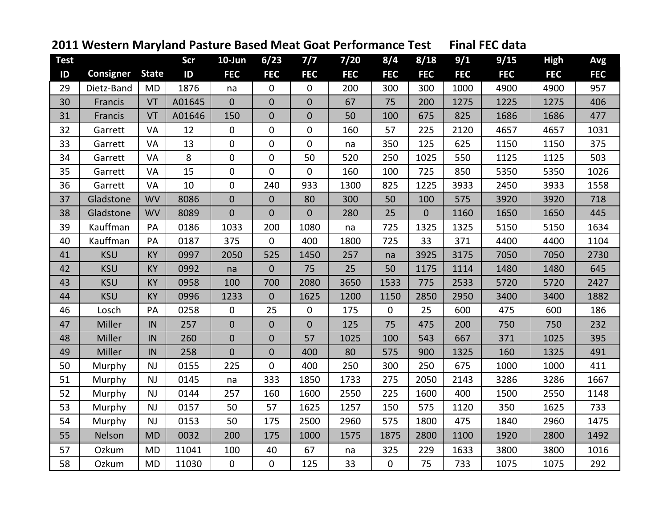| <b>Test</b> |                  |              | <b>Scr</b> | 10-Jun         | 6/23           | 7/7              | $7/20$     | 8/4              | 8/18        | 9/1        | 9/15       | <b>High</b> | Avg        |
|-------------|------------------|--------------|------------|----------------|----------------|------------------|------------|------------------|-------------|------------|------------|-------------|------------|
| ID          | <b>Consigner</b> | <b>State</b> | ID         | <b>FEC</b>     | <b>FEC</b>     | <b>FEC</b>       | <b>FEC</b> | <b>FEC</b>       | <b>FEC</b>  | <b>FEC</b> | <b>FEC</b> | <b>FEC</b>  | <b>FEC</b> |
| 29          | Dietz-Band       | <b>MD</b>    | 1876       | na             | 0              | $\boldsymbol{0}$ | 200        | 300              | 300         | 1000       | 4900       | 4900        | 957        |
| 30          | Francis          | VT           | A01645     | $\overline{0}$ | $\overline{0}$ | $\overline{0}$   | 67         | 75               | 200         | 1275       | 1225       | 1275        | 406        |
| 31          | Francis          | VT           | A01646     | 150            | $\overline{0}$ | $\overline{0}$   | 50         | 100              | 675         | 825        | 1686       | 1686        | 477        |
| 32          | Garrett          | VA           | 12         | 0              | 0              | 0                | 160        | 57               | 225         | 2120       | 4657       | 4657        | 1031       |
| 33          | Garrett          | VA           | 13         | 0              | 0              | 0                | na         | 350              | 125         | 625        | 1150       | 1150        | 375        |
| 34          | Garrett          | VA           | 8          | 0              | 0              | 50               | 520        | 250              | 1025        | 550        | 1125       | 1125        | 503        |
| 35          | Garrett          | VA           | 15         | 0              | 0              | $\mathbf{0}$     | 160        | 100              | 725         | 850        | 5350       | 5350        | 1026       |
| 36          | Garrett          | VA           | 10         | $\mathbf 0$    | 240            | 933              | 1300       | 825              | 1225        | 3933       | 2450       | 3933        | 1558       |
| 37          | Gladstone        | <b>WV</b>    | 8086       | $\mathbf 0$    | $\overline{0}$ | 80               | 300        | 50               | 100         | 575        | 3920       | 3920        | 718        |
| 38          | Gladstone        | <b>WV</b>    | 8089       | $\overline{0}$ | $\overline{0}$ | $\overline{0}$   | 280        | 25               | $\mathbf 0$ | 1160       | 1650       | 1650        | 445        |
| 39          | Kauffman         | PA           | 0186       | 1033           | 200            | 1080             | na         | 725              | 1325        | 1325       | 5150       | 5150        | 1634       |
| 40          | Kauffman         | PA           | 0187       | 375            | $\overline{0}$ | 400              | 1800       | 725              | 33          | 371        | 4400       | 4400        | 1104       |
| 41          | <b>KSU</b>       | <b>KY</b>    | 0997       | 2050           | 525            | 1450             | 257        | na               | 3925        | 3175       | 7050       | 7050        | 2730       |
| 42          | <b>KSU</b>       | <b>KY</b>    | 0992       | na             | $\overline{0}$ | 75               | 25         | 50               | 1175        | 1114       | 1480       | 1480        | 645        |
| 43          | <b>KSU</b>       | <b>KY</b>    | 0958       | 100            | 700            | 2080             | 3650       | 1533             | 775         | 2533       | 5720       | 5720        | 2427       |
| 44          | <b>KSU</b>       | KY           | 0996       | 1233           | $\overline{0}$ | 1625             | 1200       | 1150             | 2850        | 2950       | 3400       | 3400        | 1882       |
| 46          | Losch            | PA           | 0258       | 0              | 25             | 0                | 175        | $\mathbf 0$      | 25          | 600        | 475        | 600         | 186        |
| 47          | Miller           | IN           | 257        | $\overline{0}$ | $\overline{0}$ | $\overline{0}$   | 125        | 75               | 475         | 200        | 750        | 750         | 232        |
| 48          | Miller           | IN           | 260        | $\mathbf 0$    | $\overline{0}$ | 57               | 1025       | 100              | 543         | 667        | 371        | 1025        | 395        |
| 49          | Miller           | IN           | 258        | $\overline{0}$ | $\overline{0}$ | 400              | 80         | 575              | 900         | 1325       | 160        | 1325        | 491        |
| 50          | Murphy           | NJ           | 0155       | 225            | 0              | 400              | 250        | 300              | 250         | 675        | 1000       | 1000        | 411        |
| 51          | Murphy           | NJ           | 0145       | na             | 333            | 1850             | 1733       | 275              | 2050        | 2143       | 3286       | 3286        | 1667       |
| 52          | Murphy           | <b>NJ</b>    | 0144       | 257            | 160            | 1600             | 2550       | 225              | 1600        | 400        | 1500       | 2550        | 1148       |
| 53          | Murphy           | <b>NJ</b>    | 0157       | 50             | 57             | 1625             | 1257       | 150              | 575         | 1120       | 350        | 1625        | 733        |
| 54          | Murphy           | NJ           | 0153       | 50             | 175            | 2500             | 2960       | 575              | 1800        | 475        | 1840       | 2960        | 1475       |
| 55          | Nelson           | <b>MD</b>    | 0032       | 200            | 175            | 1000             | 1575       | 1875             | 2800        | 1100       | 1920       | 2800        | 1492       |
| 57          | Ozkum            | <b>MD</b>    | 11041      | 100            | 40             | 67               | na         | 325              | 229         | 1633       | 3800       | 3800        | 1016       |
| 58          | Ozkum            | <b>MD</b>    | 11030      | $\mathbf 0$    | $\overline{0}$ | 125              | 33         | $\boldsymbol{0}$ | 75          | 733        | 1075       | 1075        | 292        |

## **Western Maryland Pasture Based Meat Goat Performance Test Final FEC data**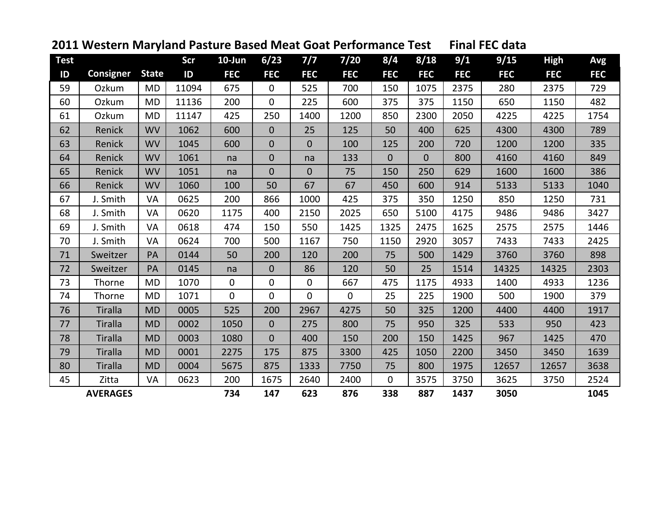| <b>Test</b> |                  |              | Scr   | $10$ -Jun      | 6/23           | 7/7            | 7/20         | 8/4          | 8/18         | 9/1        | 9/15       | <b>High</b> | Avg        |
|-------------|------------------|--------------|-------|----------------|----------------|----------------|--------------|--------------|--------------|------------|------------|-------------|------------|
| ID          | <b>Consigner</b> | <b>State</b> | ID    | <b>FEC</b>     | <b>FEC</b>     | <b>FEC</b>     | <b>FEC</b>   | <b>FEC</b>   | <b>FEC</b>   | <b>FEC</b> | <b>FEC</b> | <b>FEC</b>  | <b>FEC</b> |
| 59          | Ozkum            | <b>MD</b>    | 11094 | 675            | 0              | 525            | 700          | 150          | 1075         | 2375       | 280        | 2375        | 729        |
| 60          | Ozkum            | <b>MD</b>    | 11136 | 200            | 0              | 225            | 600          | 375          | 375          | 1150       | 650        | 1150        | 482        |
| 61          | Ozkum            | <b>MD</b>    | 11147 | 425            | 250            | 1400           | 1200         | 850          | 2300         | 2050       | 4225       | 4225        | 1754       |
| 62          | Renick           | <b>WV</b>    | 1062  | 600            | $\overline{0}$ | 25             | 125          | 50           | 400          | 625        | 4300       | 4300        | 789        |
| 63          | Renick           | <b>WV</b>    | 1045  | 600            | $\overline{0}$ | 0              | 100          | 125          | 200          | 720        | 1200       | 1200        | 335        |
| 64          | Renick           | <b>WV</b>    | 1061  | na             | 0              | na             | 133          | $\mathbf{0}$ | $\mathbf{0}$ | 800        | 4160       | 4160        | 849        |
| 65          | Renick           | <b>WV</b>    | 1051  | na             | $\overline{0}$ | $\overline{0}$ | 75           | 150          | 250          | 629        | 1600       | 1600        | 386        |
| 66          | Renick           | <b>WV</b>    | 1060  | 100            | 50             | 67             | 67           | 450          | 600          | 914        | 5133       | 5133        | 1040       |
| 67          | J. Smith         | VA           | 0625  | 200            | 866            | 1000           | 425          | 375          | 350          | 1250       | 850        | 1250        | 731        |
| 68          | J. Smith         | VA           | 0620  | 1175           | 400            | 2150           | 2025         | 650          | 5100         | 4175       | 9486       | 9486        | 3427       |
| 69          | J. Smith         | VA           | 0618  | 474            | 150            | 550            | 1425         | 1325         | 2475         | 1625       | 2575       | 2575        | 1446       |
| 70          | J. Smith         | VA           | 0624  | 700            | 500            | 1167           | 750          | 1150         | 2920         | 3057       | 7433       | 7433        | 2425       |
| 71          | Sweitzer         | PA           | 0144  | 50             | 200            | 120            | 200          | 75           | 500          | 1429       | 3760       | 3760        | 898        |
| 72          | Sweitzer         | PA           | 0145  | na             | $\overline{0}$ | 86             | 120          | 50           | 25           | 1514       | 14325      | 14325       | 2303       |
| 73          | Thorne           | <b>MD</b>    | 1070  | $\mathbf 0$    | 0              | 0              | 667          | 475          | 1175         | 4933       | 1400       | 4933        | 1236       |
| 74          | Thorne           | <b>MD</b>    | 1071  | $\overline{0}$ | 0              | 0              | $\mathbf{0}$ | 25           | 225          | 1900       | 500        | 1900        | 379        |
| 76          | <b>Tiralla</b>   | <b>MD</b>    | 0005  | 525            | 200            | 2967           | 4275         | 50           | 325          | 1200       | 4400       | 4400        | 1917       |
| 77          | <b>Tiralla</b>   | <b>MD</b>    | 0002  | 1050           | $\overline{0}$ | 275            | 800          | 75           | 950          | 325        | 533        | 950         | 423        |
| 78          | <b>Tiralla</b>   | <b>MD</b>    | 0003  | 1080           | $\overline{0}$ | 400            | 150          | 200          | 150          | 1425       | 967        | 1425        | 470        |
| 79          | <b>Tiralla</b>   | <b>MD</b>    | 0001  | 2275           | 175            | 875            | 3300         | 425          | 1050         | 2200       | 3450       | 3450        | 1639       |
| 80          | <b>Tiralla</b>   | <b>MD</b>    | 0004  | 5675           | 875            | 1333           | 7750         | 75           | 800          | 1975       | 12657      | 12657       | 3638       |
| 45          | Zitta            | VA           | 0623  | 200            | 1675           | 2640           | 2400         | 0            | 3575         | 3750       | 3625       | 3750        | 2524       |
|             | <b>AVERAGES</b>  |              |       | 734            | 147            | 623            | 876          | 338          | 887          | 1437       | 3050       |             | 1045       |

## **Western Maryland Pasture Based Meat Goat Performance Test Final FEC data**